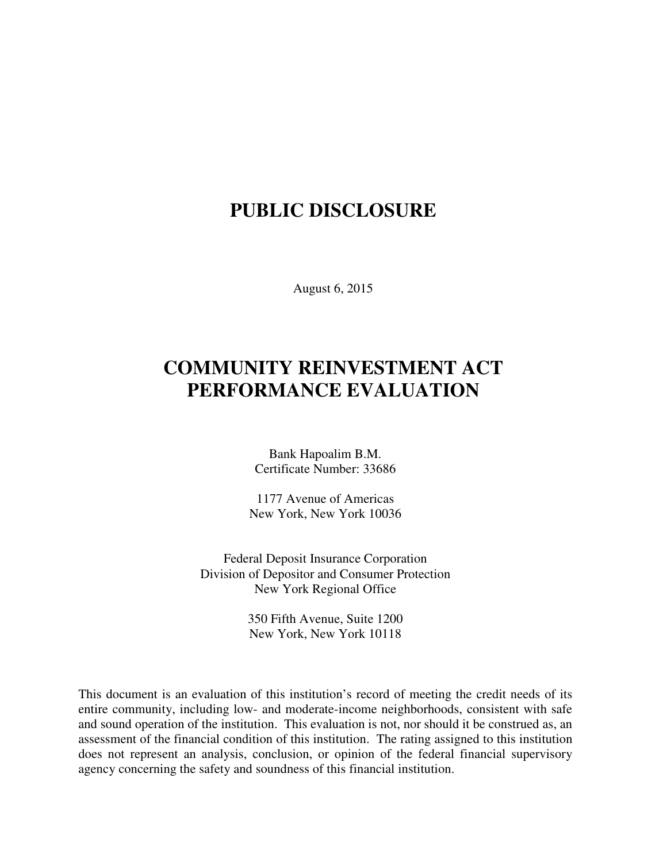## **PUBLIC DISCLOSURE**

August 6, 2015

# **COMMUNITY REINVESTMENT ACT PERFORMANCE EVALUATION**

Bank Hapoalim B.M. Certificate Number: 33686

1177 Avenue of Americas New York, New York 10036

Federal Deposit Insurance Corporation Division of Depositor and Consumer Protection New York Regional Office

> 350 Fifth Avenue, Suite 1200 New York, New York 10118

This document is an evaluation of this institution's record of meeting the credit needs of its entire community, including low- and moderate-income neighborhoods, consistent with safe and sound operation of the institution.This evaluation is not, nor should it be construed as, an assessment of the financial condition of this institution. The rating assigned to this institution does not represent an analysis, conclusion, or opinion of the federal financial supervisory agency concerning the safety and soundness of this financial institution.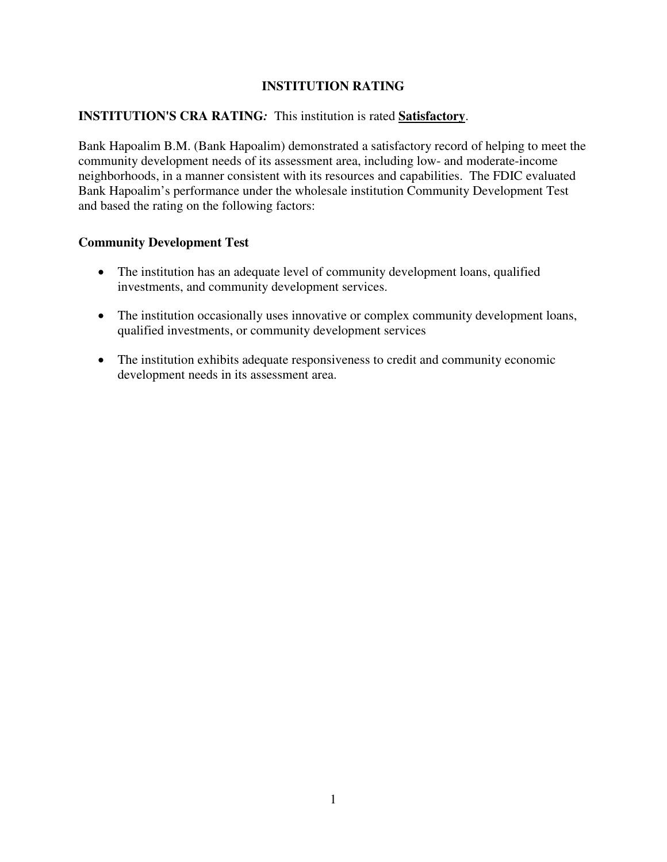### **INSTITUTION RATING**

#### **INSTITUTION'S CRA RATING***:* This institution is rated **Satisfactory**.

Bank Hapoalim B.M. (Bank Hapoalim) demonstrated a satisfactory record of helping to meet the community development needs of its assessment area, including low- and moderate-income neighborhoods, in a manner consistent with its resources and capabilities. The FDIC evaluated Bank Hapoalim's performance under the wholesale institution Community Development Test and based the rating on the following factors:

#### **Community Development Test**

- The institution has an adequate level of community development loans, qualified investments, and community development services.
- The institution occasionally uses innovative or complex community development loans, qualified investments, or community development services
- The institution exhibits adequate responsiveness to credit and community economic development needs in its assessment area.